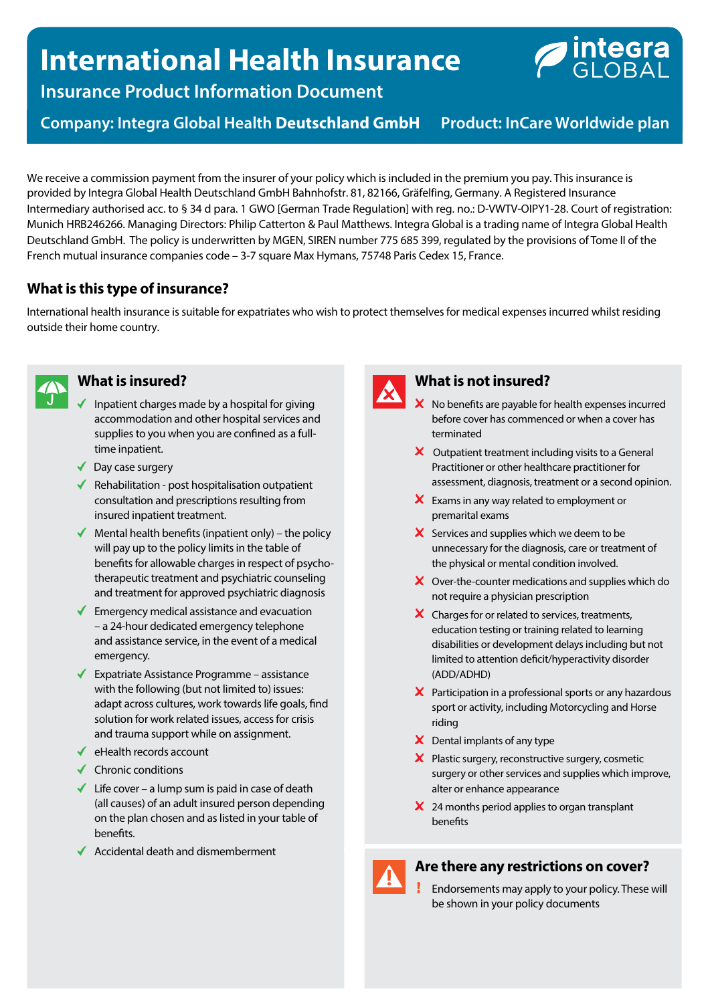# **International Health Insurance**



**Insurance Product Information Document**

**Company: Integra Global Health Deutschland GmbH** Product: InCare Worldwide plan

We receive a commission payment from the insurer of your policy which is included in the premium you pay. This insurance is provided by Integra Global Health Deutschland GmbH Bahnhofstr. 81, 82166, Gräfelfing, Germany. A Registered Insurance Intermediary authorised acc. to § 34 d para. 1 GWO [German Trade Regulation] with reg. no.: D-VWTV-OIPY1-28. Court of registration: Munich HRB246266. Managing Directors: Philip Catterton & Paul Matthews. Integra Global is a trading name of Integra Global Health Deutschland GmbH. The policy is underwritten by MGEN, SIREN number 775 685 399, regulated by the provisions of Tome II of the French mutual insurance companies code – 3-7 square Max Hymans, 75748 Paris Cedex 15, France.

# **What is this type of insurance?**

International health insurance is suitable for expatriates who wish to protect themselves for medical expenses incurred whilst residing outside their home country.



## **What is insured?**

- Inpatient charges made by a hospital for giving accommodation and other hospital services and supplies to you when you are confined as a fulltime inpatient.
- ◆ Day case surgery
- $\blacklozenge$  Rehabilitation post hospitalisation outpatient consultation and prescriptions resulting from insured inpatient treatment.
- $\blacklozenge$  Mental health benefits (inpatient only) the policy will pay up to the policy limits in the table of benefits for allowable charges in respect of psychotherapeutic treatment and psychiatric counseling and treatment for approved psychiatric diagnosis
- $\blacklozenge$  Emergency medical assistance and evacuation – a 24-hour dedicated emergency telephone and assistance service, in the event of a medical emergency.
- $\blacktriangleright$  Expatriate Assistance Programme assistance with the following (but not limited to) issues: adapt across cultures, work towards life goals, find solution for work related issues, access for crisis and trauma support while on assignment.
- $\blacklozenge$  eHealth records account
- $\checkmark$  Chronic conditions
- $\checkmark$  Life cover a lump sum is paid in case of death (all causes) of an adult insured person depending on the plan chosen and as listed in your table of benefits.
- $\triangleleft$  Accidental death and dismemberment



# **What is not insured?**

- $\boldsymbol{\times}$  No benefits are payable for health expenses incurred before cover has commenced or when a cover has terminated
- $\boldsymbol{\times}$  Outpatient treatment including visits to a General Practitioner or other healthcare practitioner for assessment, diagnosis, treatment or a second opinion.
- **X** Exams in any way related to employment or premarital exams
- $\boldsymbol{\times}$  Services and supplies which we deem to be unnecessary for the diagnosis, care or treatment of the physical or mental condition involved.
- X Over-the-counter medications and supplies which do not require a physician prescription
- X Charges for or related to services, treatments, education testing or training related to learning disabilities or development delays including but not limited to attention deficit/hyperactivity disorder (ADD/ADHD)
- X Participation in a professional sports or any hazardous sport or activity, including Motorcycling and Horse riding
- $\boldsymbol{\times}$  Dental implants of any type
- X Plastic surgery, reconstructive surgery, cosmetic surgery or other services and supplies which improve, alter or enhance appearance
- $\angle$  24 months period applies to organ transplant benefits

### **Are there any restrictions on cover?**

Endorsements may apply to your policy. These will be shown in your policy documents